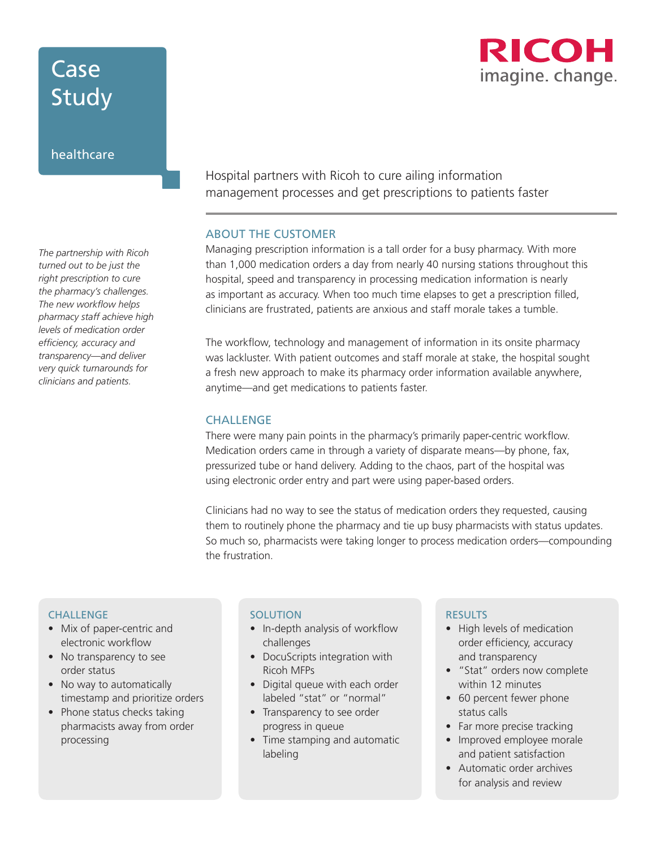# Case Study

### healthcare

*The partnership with Ricoh turned out to be just the right prescription to cure the pharmacy's challenges. The new workflow helps pharmacy staff achieve high levels of medication order efficiency, accuracy and transparency—and deliver very quick turnarounds for clinicians and patients.*

Hospital partners with Ricoh to cure ailing information management processes and get prescriptions to patients faster

#### ABOUT THE CUSTOMER

Managing prescription information is a tall order for a busy pharmacy. With more than 1,000 medication orders a day from nearly 40 nursing stations throughout this hospital, speed and transparency in processing medication information is nearly as important as accuracy. When too much time elapses to get a prescription filled, clinicians are frustrated, patients are anxious and staff morale takes a tumble.

The workflow, technology and management of information in its onsite pharmacy was lackluster. With patient outcomes and staff morale at stake, the hospital sought a fresh new approach to make its pharmacy order information available anywhere, anytime—and get medications to patients faster.

### **CHALLENGE**

There were many pain points in the pharmacy's primarily paper-centric workflow. Medication orders came in through a variety of disparate means—by phone, fax, pressurized tube or hand delivery. Adding to the chaos, part of the hospital was using electronic order entry and part were using paper-based orders.

Clinicians had no way to see the status of medication orders they requested, causing them to routinely phone the pharmacy and tie up busy pharmacists with status updates. So much so, pharmacists were taking longer to process medication orders—compounding the frustration.

### **CHALLENGE**

- Mix of paper-centric and electronic workflow
- No transparency to see order status
- No way to automatically timestamp and prioritize orders
- Phone status checks taking pharmacists away from order processing

### **SOLUTION**

- In-depth analysis of workflow challenges
- DocuScripts integration with Ricoh MFPs
- Digital queue with each order labeled "stat" or "normal"
- Transparency to see order progress in queue
- Time stamping and automatic labeling

### RESULTS

- High levels of medication order efficiency, accuracy and transparency
- "Stat" orders now complete within 12 minutes
- 60 percent fewer phone status calls
- Far more precise tracking
- Improved employee morale and patient satisfaction
- Automatic order archives for analysis and review

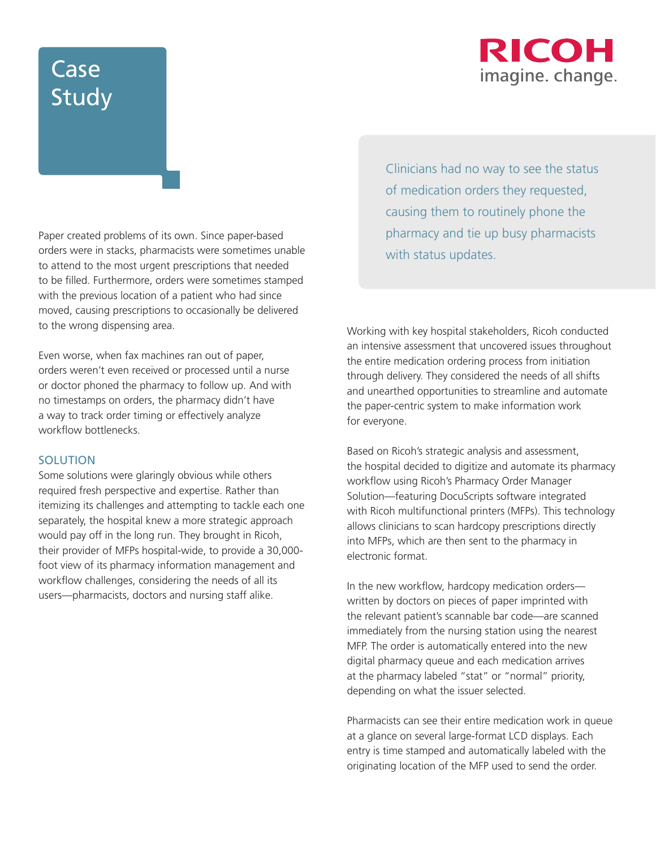## RICOH imagine. change.

# Case Study

Paper created problems of its own. Since paper-based orders were in stacks, pharmacists were sometimes unable to attend to the most urgent prescriptions that needed to be filled. Furthermore, orders were sometimes stamped with the previous location of a patient who had since moved, causing prescriptions to occasionally be delivered to the wrong dispensing area.

Even worse, when fax machines ran out of paper, orders weren't even received or processed until a nurse or doctor phoned the pharmacy to follow up. And with no timestamps on orders, the pharmacy didn't have a way to track order timing or effectively analyze workflow bottlenecks.

### **SOLUTION**

Some solutions were glaringly obvious while others required fresh perspective and expertise. Rather than itemizing its challenges and attempting to tackle each one separately, the hospital knew a more strategic approach would pay off in the long run. They brought in Ricoh, their provider of MFPs hospital-wide, to provide a 30,000 foot view of its pharmacy information management and workflow challenges, considering the needs of all its users—pharmacists, doctors and nursing staff alike.

Clinicians had no way to see the status of medication orders they requested, causing them to routinely phone the pharmacy and tie up busy pharmacists with status updates.

Working with key hospital stakeholders, Ricoh conducted an intensive assessment that uncovered issues throughout the entire medication ordering process from initiation through delivery. They considered the needs of all shifts and unearthed opportunities to streamline and automate the paper-centric system to make information work for everyone.

Based on Ricoh's strategic analysis and assessment, the hospital decided to digitize and automate its pharmacy workflow using Ricoh's Pharmacy Order Manager Solution—featuring DocuScripts software integrated with Ricoh multifunctional printers (MFPs). This technology allows clinicians to scan hardcopy prescriptions directly into MFPs, which are then sent to the pharmacy in electronic format.

In the new workflow, hardcopy medication orders written by doctors on pieces of paper imprinted with the relevant patient's scannable bar code—are scanned immediately from the nursing station using the nearest MFP. The order is automatically entered into the new digital pharmacy queue and each medication arrives at the pharmacy labeled "stat" or "normal" priority, depending on what the issuer selected.

Pharmacists can see their entire medication work in queue at a glance on several large-format LCD displays. Each entry is time stamped and automatically labeled with the originating location of the MFP used to send the order.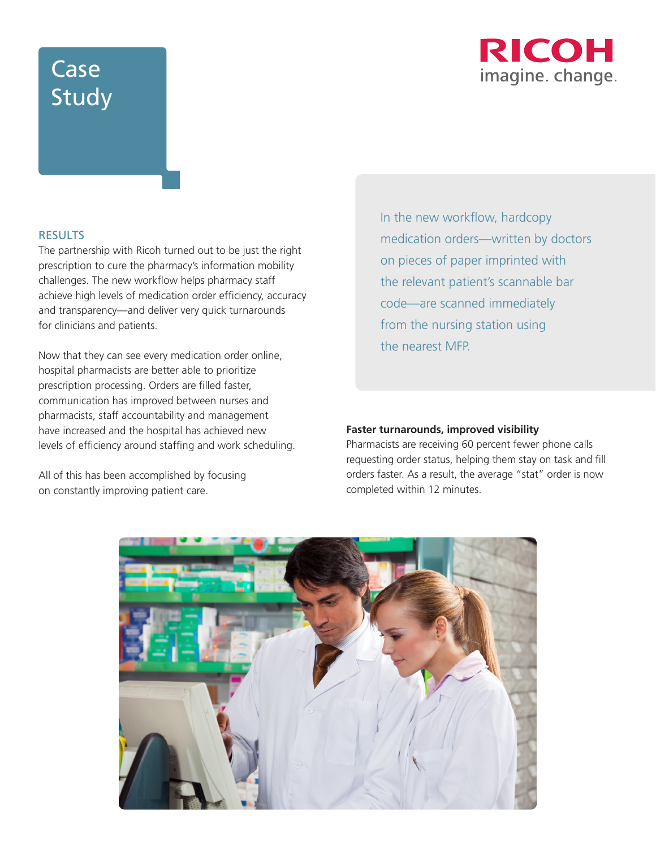## **RICOH** imagine. change.

# Case Study

### **RESULTS**

The partnership with Ricoh turned out to be just the right prescription to cure the pharmacy's information mobility challenges. The new workflow helps pharmacy staff achieve high levels of medication order efficiency, accuracy and transparency—and deliver very quick turnarounds for clinicians and patients.

Now that they can see every medication order online, hospital pharmacists are better able to prioritize prescription processing. Orders are filled faster, communication has improved between nurses and pharmacists, staff accountability and management have increased and the hospital has achieved new levels of efficiency around staffing and work scheduling.

All of this has been accomplished by focusing on constantly improving patient care.

In the new workflow, hardcopy medication orders—written by doctors on pieces of paper imprinted with the relevant patient's scannable bar code—are scanned immediately from the nursing station using the nearest MFP.

#### **Faster turnarounds, improved visibility**

Pharmacists are receiving 60 percent fewer phone calls requesting order status, helping them stay on task and fill orders faster. As a result, the average "stat" order is now completed within 12 minutes.